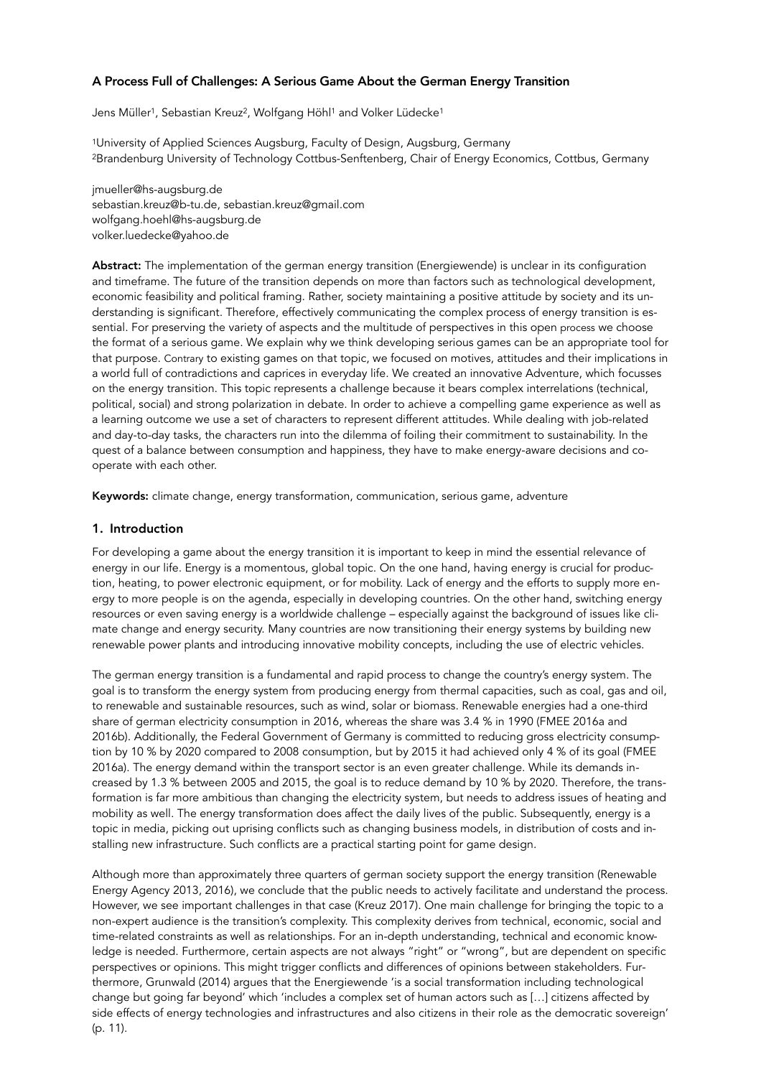# A Process Full of Challenges: A Serious Game About the German Energy Transition

Jens Müller<sup>1</sup>, Sebastian Kreuz<sup>2</sup>, Wolfgang Höhl<sup>1</sup> and Volker Lüdecke<sup>1</sup>

1University of Applied Sciences Augsburg, Faculty of Design, Augsburg, Germany 2Brandenburg University of Technology Cottbus-Senftenberg, Chair of Energy Economics, Cottbus, Germany

jmueller@hs-augsburg.de sebastian.kreuz@b-tu.de, sebastian.kreuz@gmail.com wolfgang.hoehl@hs-augsburg.de volker.luedecke@yahoo.de

Abstract: The implementation of the german energy transition (Energiewende) is unclear in its configuration and timeframe. The future of the transition depends on more than factors such as technological development, economic feasibility and political framing. Rather, society maintaining a positive attitude by society and its understanding is significant. Therefore, effectively communicating the complex process of energy transition is essential. For preserving the variety of aspects and the multitude of perspectives in this open process we choose the format of a serious game. We explain why we think developing serious games can be an appropriate tool for that purpose. Contrary to existing games on that topic, we focused on motives, attitudes and their implications in a world full of contradictions and caprices in everyday life. We created an innovative Adventure, which focusses on the energy transition. This topic represents a challenge because it bears complex interrelations (technical, political, social) and strong polarization in debate. In order to achieve a compelling game experience as well as a learning outcome we use a set of characters to represent different attitudes. While dealing with job-related and day-to-day tasks, the characters run into the dilemma of foiling their commitment to sustainability. In the quest of a balance between consumption and happiness, they have to make energy-aware decisions and cooperate with each other.

Keywords: climate change, energy transformation, communication, serious game, adventure

### 1. Introduction

For developing a game about the energy transition it is important to keep in mind the essential relevance of energy in our life. Energy is a momentous, global topic. On the one hand, having energy is crucial for production, heating, to power electronic equipment, or for mobility. Lack of energy and the efforts to supply more energy to more people is on the agenda, especially in developing countries. On the other hand, switching energy resources or even saving energy is a worldwide challenge – especially against the background of issues like climate change and energy security. Many countries are now transitioning their energy systems by building new renewable power plants and introducing innovative mobility concepts, including the use of electric vehicles.

The german energy transition is a fundamental and rapid process to change the country's energy system. The goal is to transform the energy system from producing energy from thermal capacities, such as coal, gas and oil, to renewable and sustainable resources, such as wind, solar or biomass. Renewable energies had a one-third share of german electricity consumption in 2016, whereas the share was 3.4 % in 1990 (FMEE 2016a and 2016b). Additionally, the Federal Government of Germany is committed to reducing gross electricity consumption by 10 % by 2020 compared to 2008 consumption, but by 2015 it had achieved only 4 % of its goal (FMEE 2016a). The energy demand within the transport sector is an even greater challenge. While its demands increased by 1.3 % between 2005 and 2015, the goal is to reduce demand by 10 % by 2020. Therefore, the transformation is far more ambitious than changing the electricity system, but needs to address issues of heating and mobility as well. The energy transformation does affect the daily lives of the public. Subsequently, energy is a topic in media, picking out uprising conflicts such as changing business models, in distribution of costs and installing new infrastructure. Such conflicts are a practical starting point for game design.

Although more than approximately three quarters of german society support the energy transition (Renewable Energy Agency 2013, 2016), we conclude that the public needs to actively facilitate and understand the process. However, we see important challenges in that case (Kreuz 2017). One main challenge for bringing the topic to a non-expert audience is the transition's complexity. This complexity derives from technical, economic, social and time-related constraints as well as relationships. For an in-depth understanding, technical and economic knowledge is needed. Furthermore, certain aspects are not always "right" or "wrong", but are dependent on specific perspectives or opinions. This might trigger conflicts and differences of opinions between stakeholders. Furthermore, Grunwald (2014) argues that the Energiewende 'is a social transformation including technological change but going far beyond' which 'includes a complex set of human actors such as […] citizens affected by side effects of energy technologies and infrastructures and also citizens in their role as the democratic sovereign' (p. 11).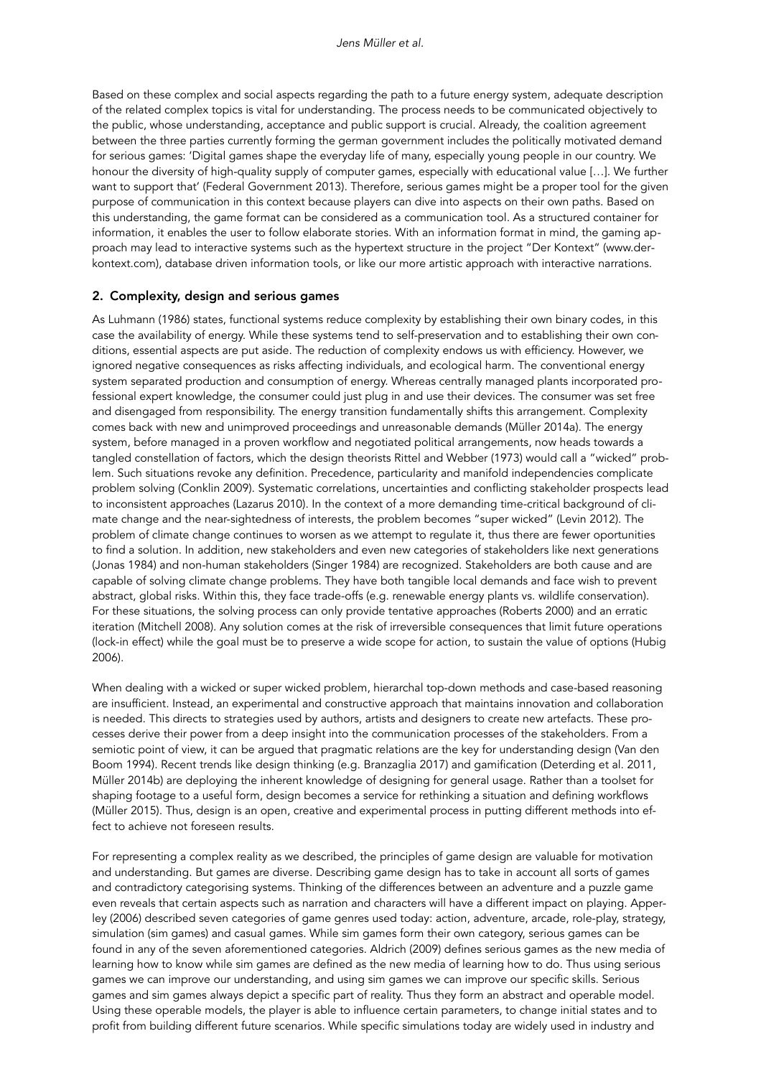Based on these complex and social aspects regarding the path to a future energy system, adequate description of the related complex topics is vital for understanding. The process needs to be communicated objectively to the public, whose understanding, acceptance and public support is crucial. Already, the coalition agreement between the three parties currently forming the german government includes the politically motivated demand for serious games: 'Digital games shape the everyday life of many, especially young people in our country. We honour the diversity of high-quality supply of computer games, especially with educational value […]. We further want to support that' (Federal Government 2013). Therefore, serious games might be a proper tool for the given purpose of communication in this context because players can dive into aspects on their own paths. Based on this understanding, the game format can be considered as a communication tool. As a structured container for information, it enables the user to follow elaborate stories. With an information format in mind, the gaming approach may lead to interactive systems such as the hypertext structure in the project "Der Kontext" (www.derkontext.com), database driven information tools, or like our more artistic approach with interactive narrations.

### 2. Complexity, design and serious games

As Luhmann (1986) states, functional systems reduce complexity by establishing their own binary codes, in this case the availability of energy. While these systems tend to self-preservation and to establishing their own conditions, essential aspects are put aside. The reduction of complexity endows us with efficiency. However, we ignored negative consequences as risks affecting individuals, and ecological harm. The conventional energy system separated production and consumption of energy. Whereas centrally managed plants incorporated professional expert knowledge, the consumer could just plug in and use their devices. The consumer was set free and disengaged from responsibility. The energy transition fundamentally shifts this arrangement. Complexity comes back with new and unimproved proceedings and unreasonable demands (Müller 2014a). The energy system, before managed in a proven workflow and negotiated political arrangements, now heads towards a tangled constellation of factors, which the design theorists Rittel and Webber (1973) would call a "wicked" problem. Such situations revoke any definition. Precedence, particularity and manifold independencies complicate problem solving (Conklin 2009). Systematic correlations, uncertainties and conflicting stakeholder prospects lead to inconsistent approaches (Lazarus 2010). In the context of a more demanding time-critical background of climate change and the near-sightedness of interests, the problem becomes "super wicked" (Levin 2012). The problem of climate change continues to worsen as we attempt to regulate it, thus there are fewer oportunities to find a solution. In addition, new stakeholders and even new categories of stakeholders like next generations (Jonas 1984) and non-human stakeholders (Singer 1984) are recognized. Stakeholders are both cause and are capable of solving climate change problems. They have both tangible local demands and face wish to prevent abstract, global risks. Within this, they face trade-offs (e.g. renewable energy plants vs. wildlife conservation). For these situations, the solving process can only provide tentative approaches (Roberts 2000) and an erratic iteration (Mitchell 2008). Any solution comes at the risk of irreversible consequences that limit future operations (lock-in effect) while the goal must be to preserve a wide scope for action, to sustain the value of options (Hubig 2006).

When dealing with a wicked or super wicked problem, hierarchal top-down methods and case-based reasoning are insufficient. Instead, an experimental and constructive approach that maintains innovation and collaboration is needed. This directs to strategies used by authors, artists and designers to create new artefacts. These processes derive their power from a deep insight into the communication processes of the stakeholders. From a semiotic point of view, it can be argued that pragmatic relations are the key for understanding design (Van den Boom 1994). Recent trends like design thinking (e.g. Branzaglia 2017) and gamification (Deterding et al. 2011, Müller 2014b) are deploying the inherent knowledge of designing for general usage. Rather than a toolset for shaping footage to a useful form, design becomes a service for rethinking a situation and defining workflows (Müller 2015). Thus, design is an open, creative and experimental process in putting different methods into effect to achieve not foreseen results.

For representing a complex reality as we described, the principles of game design are valuable for motivation and understanding. But games are diverse. Describing game design has to take in account all sorts of games and contradictory categorising systems. Thinking of the differences between an adventure and a puzzle game even reveals that certain aspects such as narration and characters will have a different impact on playing. Apperley (2006) described seven categories of game genres used today: action, adventure, arcade, role-play, strategy, simulation (sim games) and casual games. While sim games form their own category, serious games can be found in any of the seven aforementioned categories. Aldrich (2009) defines serious games as the new media of learning how to know while sim games are defined as the new media of learning how to do. Thus using serious games we can improve our understanding, and using sim games we can improve our specific skills. Serious games and sim games always depict a specific part of reality. Thus they form an abstract and operable model. Using these operable models, the player is able to influence certain parameters, to change initial states and to profit from building different future scenarios. While specific simulations today are widely used in industry and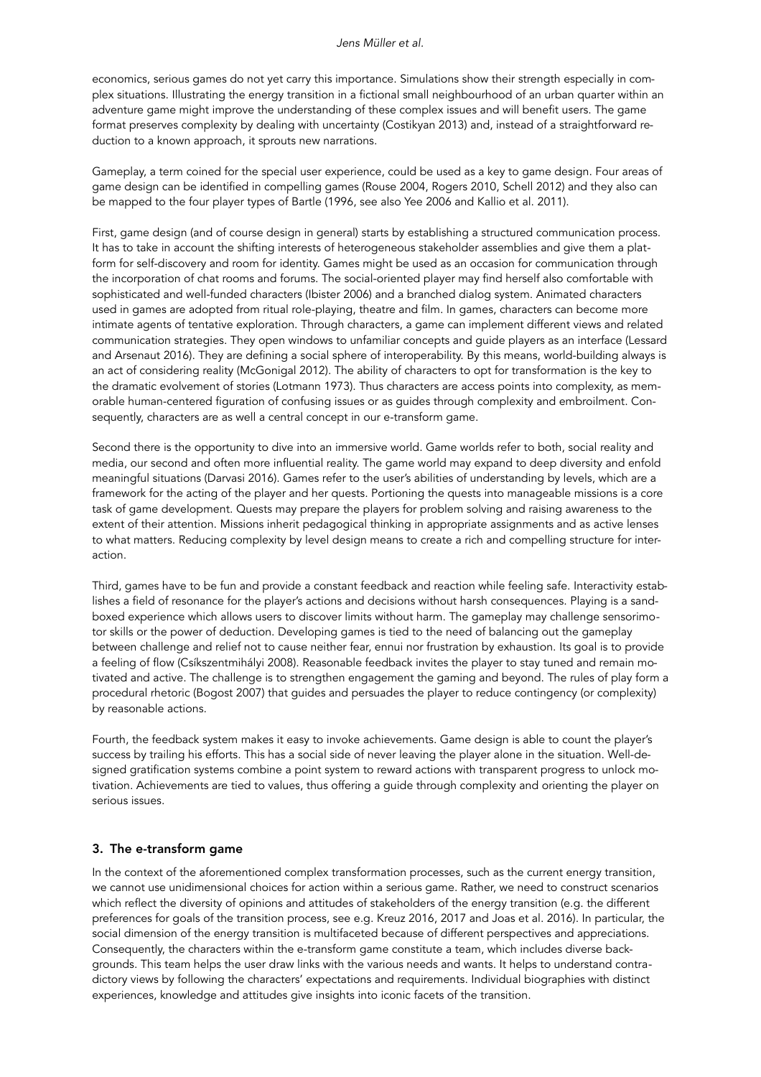economics, serious games do not yet carry this importance. Simulations show their strength especially in complex situations. Illustrating the energy transition in a fictional small neighbourhood of an urban quarter within an adventure game might improve the understanding of these complex issues and will benefit users. The game format preserves complexity by dealing with uncertainty (Costikyan 2013) and, instead of a straightforward reduction to a known approach, it sprouts new narrations.

Gameplay, a term coined for the special user experience, could be used as a key to game design. Four areas of game design can be identified in compelling games (Rouse 2004, Rogers 2010, Schell 2012) and they also can be mapped to the four player types of Bartle (1996, see also Yee 2006 and Kallio et al. 2011).

First, game design (and of course design in general) starts by establishing a structured communication process. It has to take in account the shifting interests of heterogeneous stakeholder assemblies and give them a platform for self-discovery and room for identity. Games might be used as an occasion for communication through the incorporation of chat rooms and forums. The social-oriented player may find herself also comfortable with sophisticated and well-funded characters (Ibister 2006) and a branched dialog system. Animated characters used in games are adopted from ritual role-playing, theatre and film. In games, characters can become more intimate agents of tentative exploration. Through characters, a game can implement different views and related communication strategies. They open windows to unfamiliar concepts and guide players as an interface (Lessard and Arsenaut 2016). They are defining a social sphere of interoperability. By this means, world-building always is an act of considering reality (McGonigal 2012). The ability of characters to opt for transformation is the key to the dramatic evolvement of stories (Lotmann 1973). Thus characters are access points into complexity, as memorable human-centered figuration of confusing issues or as guides through complexity and embroilment. Consequently, characters are as well a central concept in our e-transform game.

Second there is the opportunity to dive into an immersive world. Game worlds refer to both, social reality and media, our second and often more influential reality. The game world may expand to deep diversity and enfold meaningful situations (Darvasi 2016). Games refer to the user's abilities of understanding by levels, which are a framework for the acting of the player and her quests. Portioning the quests into manageable missions is a core task of game development. Quests may prepare the players for problem solving and raising awareness to the extent of their attention. Missions inherit pedagogical thinking in appropriate assignments and as active lenses to what matters. Reducing complexity by level design means to create a rich and compelling structure for interaction.

Third, games have to be fun and provide a constant feedback and reaction while feeling safe. Interactivity establishes a field of resonance for the player's actions and decisions without harsh consequences. Playing is a sandboxed experience which allows users to discover limits without harm. The gameplay may challenge sensorimotor skills or the power of deduction. Developing games is tied to the need of balancing out the gameplay between challenge and relief not to cause neither fear, ennui nor frustration by exhaustion. Its goal is to provide a feeling of flow (Csíkszentmihályi 2008). Reasonable feedback invites the player to stay tuned and remain motivated and active. The challenge is to strengthen engagement the gaming and beyond. The rules of play form a procedural rhetoric (Bogost 2007) that guides and persuades the player to reduce contingency (or complexity) by reasonable actions.

Fourth, the feedback system makes it easy to invoke achievements. Game design is able to count the player's success by trailing his efforts. This has a social side of never leaving the player alone in the situation. Well-designed gratification systems combine a point system to reward actions with transparent progress to unlock motivation. Achievements are tied to values, thus offering a guide through complexity and orienting the player on serious issues.

### 3. The e-transform game

In the context of the aforementioned complex transformation processes, such as the current energy transition, we cannot use unidimensional choices for action within a serious game. Rather, we need to construct scenarios which reflect the diversity of opinions and attitudes of stakeholders of the energy transition (e.g. the different preferences for goals of the transition process, see e.g. Kreuz 2016, 2017 and Joas et al. 2016). In particular, the social dimension of the energy transition is multifaceted because of different perspectives and appreciations. Consequently, the characters within the e-transform game constitute a team, which includes diverse backgrounds. This team helps the user draw links with the various needs and wants. It helps to understand contradictory views by following the characters' expectations and requirements. Individual biographies with distinct experiences, knowledge and attitudes give insights into iconic facets of the transition.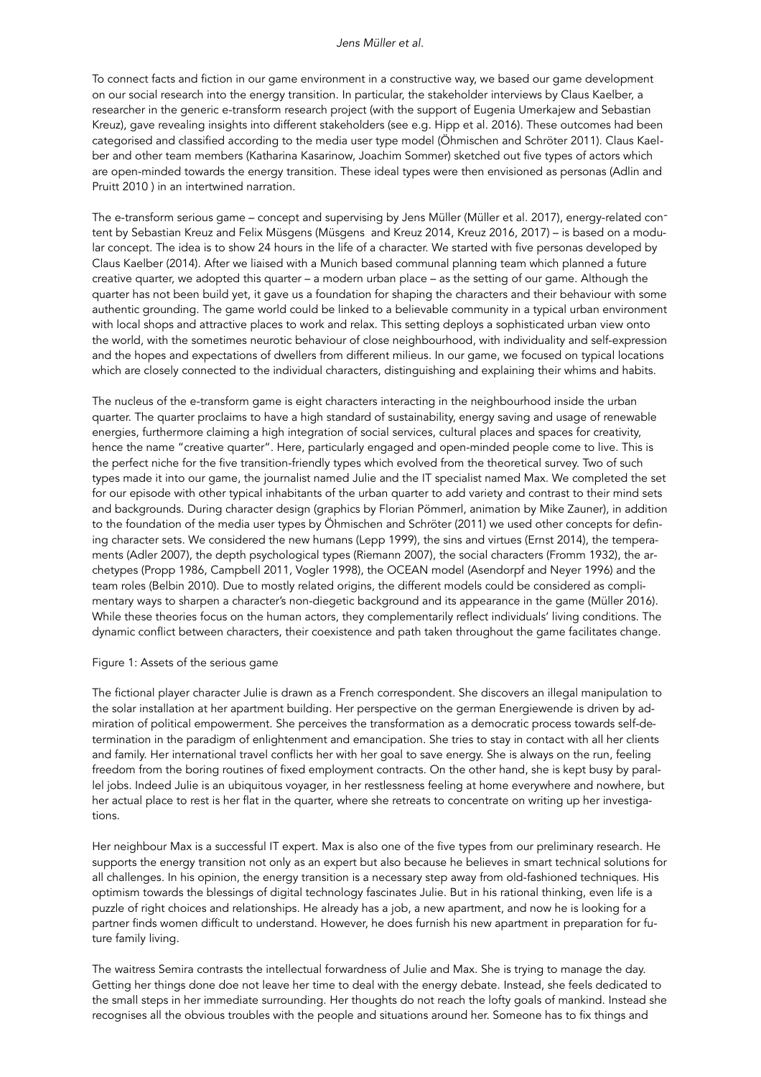To connect facts and fiction in our game environment in a constructive way, we based our game development on our social research into the energy transition. In particular, the stakeholder interviews by Claus Kaelber, a researcher in the generic e-transform research project (with the support of Eugenia Umerkajew and Sebastian Kreuz), gave revealing insights into different stakeholders (see e.g. Hipp et al. 2016). These outcomes had been categorised and classified according to the media user type model (Öhmischen and Schröter 2011). Claus Kaelber and other team members (Katharina Kasarinow, Joachim Sommer) sketched out five types of actors which are open-minded towards the energy transition. These ideal types were then envisioned as personas (Adlin and Pruitt 2010 ) in an intertwined narration.

The e-transform serious game – concept and supervising by Jens Müller (Müller et al. 2017), energy-related content by Sebastian Kreuz and Felix Müsgens (Müsgens and Kreuz 2014, Kreuz 2016, 2017) – is based on a modular concept. The idea is to show 24 hours in the life of a character. We started with five personas developed by Claus Kaelber (2014). After we liaised with a Munich based communal planning team which planned a future creative quarter, we adopted this quarter – a modern urban place – as the setting of our game. Although the quarter has not been build yet, it gave us a foundation for shaping the characters and their behaviour with some authentic grounding. The game world could be linked to a believable community in a typical urban environment with local shops and attractive places to work and relax. This setting deploys a sophisticated urban view onto the world, with the sometimes neurotic behaviour of close neighbourhood, with individuality and self-expression and the hopes and expectations of dwellers from different milieus. In our game, we focused on typical locations which are closely connected to the individual characters, distinguishing and explaining their whims and habits.

The nucleus of the e-transform game is eight characters interacting in the neighbourhood inside the urban quarter. The quarter proclaims to have a high standard of sustainability, energy saving and usage of renewable energies, furthermore claiming a high integration of social services, cultural places and spaces for creativity, hence the name "creative quarter". Here, particularly engaged and open-minded people come to live. This is the perfect niche for the five transition-friendly types which evolved from the theoretical survey. Two of such types made it into our game, the journalist named Julie and the IT specialist named Max. We completed the set for our episode with other typical inhabitants of the urban quarter to add variety and contrast to their mind sets and backgrounds. During character design (graphics by Florian Pömmerl, animation by Mike Zauner), in addition to the foundation of the media user types by Öhmischen and Schröter (2011) we used other concepts for defining character sets. We considered the new humans (Lepp 1999), the sins and virtues (Ernst 2014), the temperaments (Adler 2007), the depth psychological types (Riemann 2007), the social characters (Fromm 1932), the archetypes (Propp 1986, Campbell 2011, Vogler 1998), the OCEAN model (Asendorpf and Neyer 1996) and the team roles (Belbin 2010). Due to mostly related origins, the different models could be considered as complimentary ways to sharpen a character's non-diegetic background and its appearance in the game (Müller 2016). While these theories focus on the human actors, they complementarily reflect individuals' living conditions. The dynamic conflict between characters, their coexistence and path taken throughout the game facilitates change.

#### Figure 1: Assets of the serious game

The fictional player character Julie is drawn as a French correspondent. She discovers an illegal manipulation to the solar installation at her apartment building. Her perspective on the german Energiewende is driven by admiration of political empowerment. She perceives the transformation as a democratic process towards self-determination in the paradigm of enlightenment and emancipation. She tries to stay in contact with all her clients and family. Her international travel conflicts her with her goal to save energy. She is always on the run, feeling freedom from the boring routines of fixed employment contracts. On the other hand, she is kept busy by parallel jobs. Indeed Julie is an ubiquitous voyager, in her restlessness feeling at home everywhere and nowhere, but her actual place to rest is her flat in the quarter, where she retreats to concentrate on writing up her investigations.

Her neighbour Max is a successful IT expert. Max is also one of the five types from our preliminary research. He supports the energy transition not only as an expert but also because he believes in smart technical solutions for all challenges. In his opinion, the energy transition is a necessary step away from old-fashioned techniques. His optimism towards the blessings of digital technology fascinates Julie. But in his rational thinking, even life is a puzzle of right choices and relationships. He already has a job, a new apartment, and now he is looking for a partner finds women difficult to understand. However, he does furnish his new apartment in preparation for future family living.

The waitress Semira contrasts the intellectual forwardness of Julie and Max. She is trying to manage the day. Getting her things done doe not leave her time to deal with the energy debate. Instead, she feels dedicated to the small steps in her immediate surrounding. Her thoughts do not reach the lofty goals of mankind. Instead she recognises all the obvious troubles with the people and situations around her. Someone has to fix things and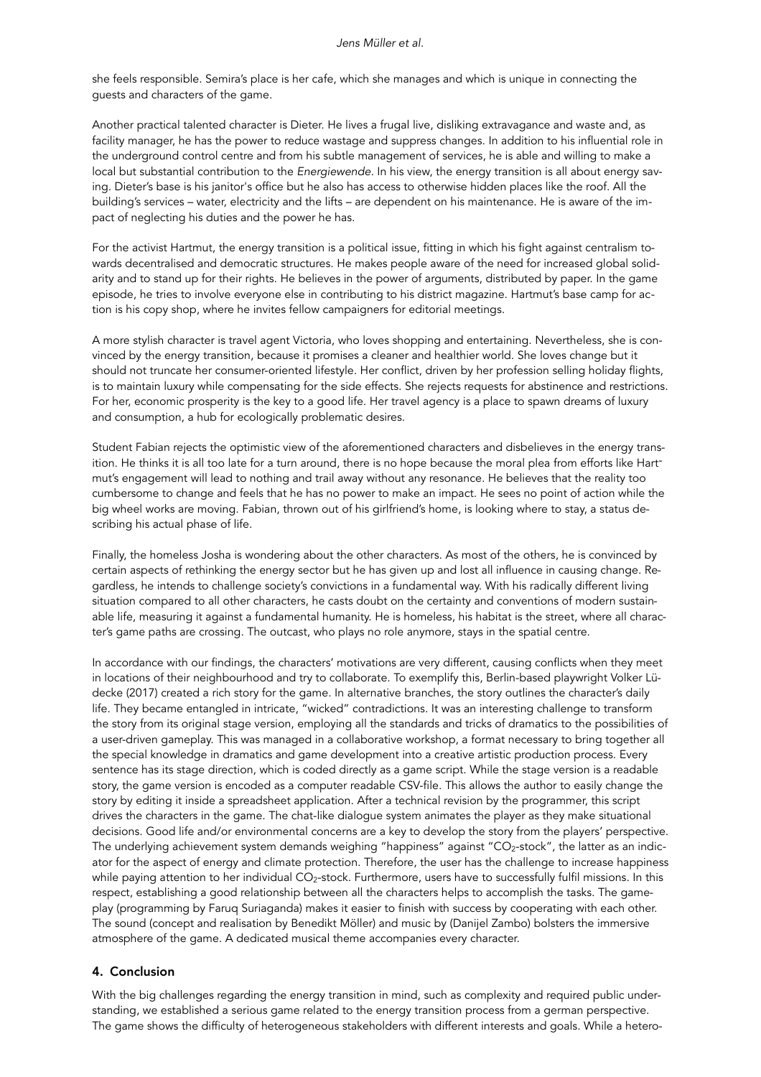she feels responsible. Semira's place is her cafe, which she manages and which is unique in connecting the guests and characters of the game.

Another practical talented character is Dieter. He lives a frugal live, disliking extravagance and waste and, as facility manager, he has the power to reduce wastage and suppress changes. In addition to his influential role in the underground control centre and from his subtle management of services, he is able and willing to make a local but substantial contribution to the *Energiewende.* In his view, the energy transition is all about energy saving. Dieter's base is his janitor's office but he also has access to otherwise hidden places like the roof. All the building's services – water, electricity and the lifts – are dependent on his maintenance. He is aware of the impact of neglecting his duties and the power he has.

For the activist Hartmut, the energy transition is a political issue, fitting in which his fight against centralism towards decentralised and democratic structures. He makes people aware of the need for increased global solidarity and to stand up for their rights. He believes in the power of arguments, distributed by paper. In the game episode, he tries to involve everyone else in contributing to his district magazine. Hartmut's base camp for action is his copy shop, where he invites fellow campaigners for editorial meetings.

A more stylish character is travel agent Victoria, who loves shopping and entertaining. Nevertheless, she is convinced by the energy transition, because it promises a cleaner and healthier world. She loves change but it should not truncate her consumer-oriented lifestyle. Her conflict, driven by her profession selling holiday flights, is to maintain luxury while compensating for the side effects. She rejects requests for abstinence and restrictions. For her, economic prosperity is the key to a good life. Her travel agency is a place to spawn dreams of luxury and consumption, a hub for ecologically problematic desires.

Student Fabian rejects the optimistic view of the aforementioned characters and disbelieves in the energy transition. He thinks it is all too late for a turn around, there is no hope because the moral plea from efforts like Hartmut's engagement will lead to nothing and trail away without any resonance. He believes that the reality too cumbersome to change and feels that he has no power to make an impact. He sees no point of action while the big wheel works are moving. Fabian, thrown out of his girlfriend's home, is looking where to stay, a status describing his actual phase of life.

Finally, the homeless Josha is wondering about the other characters. As most of the others, he is convinced by certain aspects of rethinking the energy sector but he has given up and lost all influence in causing change. Regardless, he intends to challenge society's convictions in a fundamental way. With his radically different living situation compared to all other characters, he casts doubt on the certainty and conventions of modern sustainable life, measuring it against a fundamental humanity. He is homeless, his habitat is the street, where all character's game paths are crossing. The outcast, who plays no role anymore, stays in the spatial centre.

In accordance with our findings, the characters' motivations are very different, causing conflicts when they meet in locations of their neighbourhood and try to collaborate. To exemplify this, Berlin-based playwright Volker Lüdecke (2017) created a rich story for the game. In alternative branches, the story outlines the character's daily life. They became entangled in intricate, "wicked" contradictions. It was an interesting challenge to transform the story from its original stage version, employing all the standards and tricks of dramatics to the possibilities of a user-driven gameplay. This was managed in a collaborative workshop, a format necessary to bring together all the special knowledge in dramatics and game development into a creative artistic production process. Every sentence has its stage direction, which is coded directly as a game script. While the stage version is a readable story, the game version is encoded as a computer readable CSV-file. This allows the author to easily change the story by editing it inside a spreadsheet application. After a technical revision by the programmer, this script drives the characters in the game. The chat-like dialogue system animates the player as they make situational decisions. Good life and/or environmental concerns are a key to develop the story from the players' perspective. The underlying achievement system demands weighing "happiness" against " $CO<sub>2</sub>$ -stock", the latter as an indicator for the aspect of energy and climate protection. Therefore, the user has the challenge to increase happiness while paying attention to her individual  $CO_2$ -stock. Furthermore, users have to successfully fulfil missions. In this respect, establishing a good relationship between all the characters helps to accomplish the tasks. The gameplay (programming by Faruq Suriaganda) makes it easier to finish with success by cooperating with each other. The sound (concept and realisation by Benedikt Möller) and music by (Danijel Zambo) bolsters the immersive atmosphere of the game. A dedicated musical theme accompanies every character.

## 4. Conclusion

With the big challenges regarding the energy transition in mind, such as complexity and required public understanding, we established a serious game related to the energy transition process from a german perspective. The game shows the difficulty of heterogeneous stakeholders with different interests and goals. While a hetero-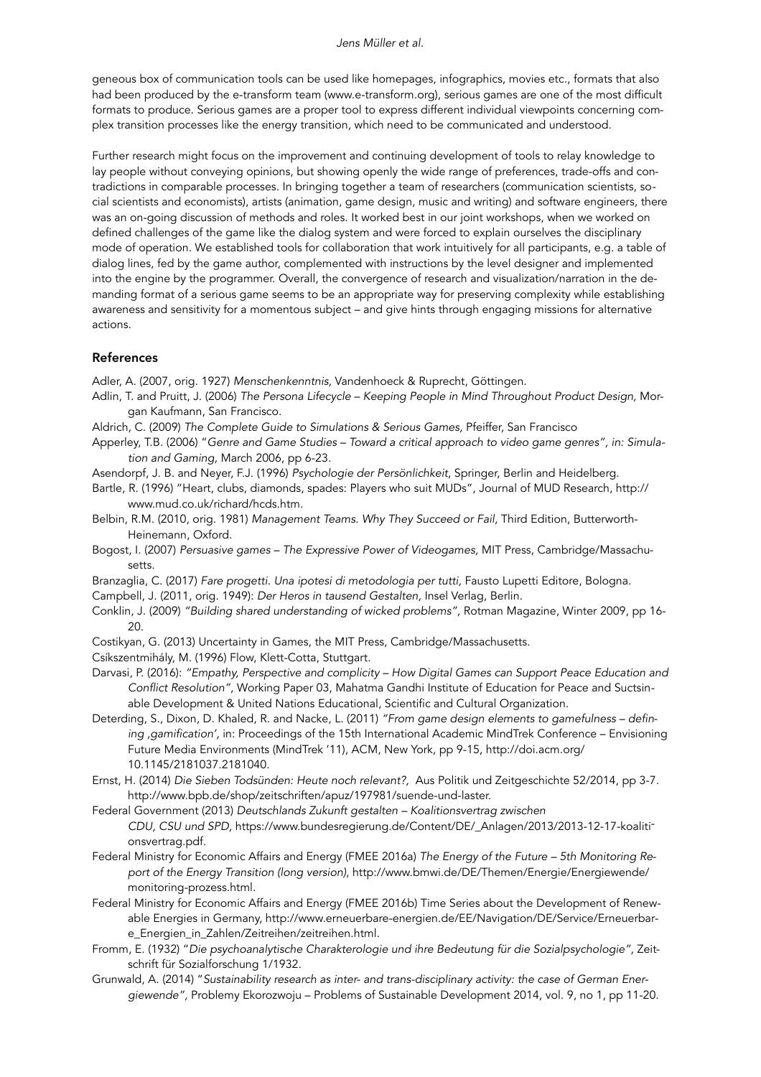#### *Jens Müller et al.*

geneous box of communication tools can be used like homepages, infographics, movies etc., formats that also had been produced by the e-transform team (www.e-transform.org), serious games are one of the most difficult formats to produce. Serious games are a proper tool to express different individual viewpoints concerning complex transition processes like the energy transition, which need to be communicated and understood.

Further research might focus on the improvement and continuing development of tools to relay knowledge to lay people without conveying opinions, but showing openly the wide range of preferences, trade-offs and contradictions in comparable processes. In bringing together a team of researchers (communication scientists, social scientists and economists), artists (animation, game design, music and writing) and software engineers, there was an on-going discussion of methods and roles. It worked best in our joint workshops, when we worked on defined challenges of the game like the dialog system and were forced to explain ourselves the disciplinary mode of operation. We established tools for collaboration that work intuitively for all participants, e.g. a table of dialog lines, fed by the game author, complemented with instructions by the level designer and implemented into the engine by the programmer. Overall, the convergence of research and visualization/narration in the demanding format of a serious game seems to be an appropriate way for preserving complexity while establishing awareness and sensitivity for a momentous subject – and give hints through engaging missions for alternative actions.

## References

Adler, A. (2007, orig. 1927) *Menschenkenntnis,* Vandenhoeck & Ruprecht, Göttingen.

- Adlin, T. and Pruitt, J. (2006) *The Persona Lifecycle Keeping People in Mind Throughout Product Design,* Morgan Kaufmann, San Francisco.
- Aldrich, C. (2009) *The Complete Guide to Simulations & Serious Games,* Pfeiffer, San Francisco
- Apperley, T.B. (2006) "*Genre and Game Studies Toward a critical approach to video game genres", in: Simulation and Gaming,* March 2006, pp 6-23.
- Asendorpf, J. B. and Neyer, F.J. (1996) *Psychologie der Persönlichkeit*, Springer, Berlin and Heidelberg.
- Bartle, R. (1996) "Heart, clubs, diamonds, spades: Players who suit MUDs", Journal of MUD Research, http:// www.mud.co.uk/richard/hcds.htm.
- Belbin, R.M. (2010, orig. 1981) *Management Teams. Why They Succeed or Fail,* Third Edition, Butterworth-Heinemann, Oxford.
- Bogost, I. (2007) *Persuasive games The Expressive Power of Videogames,* MIT Press, Cambridge/Massachusetts.
- Branzaglia, C. (2017) *Fare progetti. Una ipotesi di metodologia per tutti,* Fausto Lupetti Editore, Bologna.

Campbell, J. (2011, orig. 1949): *Der Heros in tausend Gestalten,* Insel Verlag, Berlin.

- Conklin, J. (2009) *"Building shared understanding of wicked problems",* Rotman Magazine, Winter 2009, pp 16- 20.
- Costikyan, G. (2013) Uncertainty in Games, the MIT Press, Cambridge/Massachusetts.
- Csíkszentmihály, M. (1996) Flow, Klett-Cotta, Stuttgart.

Darvasi, P. (2016): *"Empathy, Perspective and complicity – How Digital Games can Support Peace Education and Conflict Resolution",* Working Paper 03, Mahatma Gandhi Institute of Education for Peace and Suctsinable Development & United Nations Educational, Scientific and Cultural Organization.

- Deterding, S., Dixon, D. Khaled, R. and Nacke, L. (2011) *"From game design elements to gamefulness defining 'gamification',* in: Proceedings of the 15th International Academic MindTrek Conference – Envisioning Future Media Environments (MindTrek '11), ACM, New York, pp 9-15, http://doi.acm.org/ 10.1145/2181037.2181040.
- Ernst, H. (2014) *Die Sieben Todsünden: Heute noch relevant?,* Aus Politik und Zeitgeschichte 52/2014, pp 3-7. http://www.bpb.de/shop/zeitschriften/apuz/197981/suende-und-laster.
- Federal Government (2013) *Deutschlands Zukunft gestalten Koalitionsvertrag zwischen CDU, CSU und SPD,* https://www.bundesregierung.de/Content/DE/\_Anlagen/2013/2013-12-17-koalitionsvertrag.pdf.
- Federal Ministry for Economic Affairs and Energy (FMEE 2016a) *The Energy of the Future 5th Monitoring Report of the Energy Transition (long version)*, http://www.bmwi.de/DE/Themen/Energie/Energiewende/ monitoring-prozess.html.
- Federal Ministry for Economic Affairs and Energy (FMEE 2016b) Time Series about the Development of Renewable Energies in Germany, http://www.erneuerbare-energien.de/EE/Navigation/DE/Service/Erneuerbare\_Energien\_in\_Zahlen/Zeitreihen/zeitreihen.html.
- Fromm, E. (1932) "*Die psychoanalytische Charakterologie und ihre Bedeutung für die Sozialpsychologie",* Zeitschrift für Sozialforschung 1/1932.
- Grunwald, A. (2014) "*Sustainability research as inter- and trans-disciplinary activity: the case of German Energiewende",* Problemy Ekorozwoju – Problems of Sustainable Development 2014, vol. 9, no 1, pp 11-20.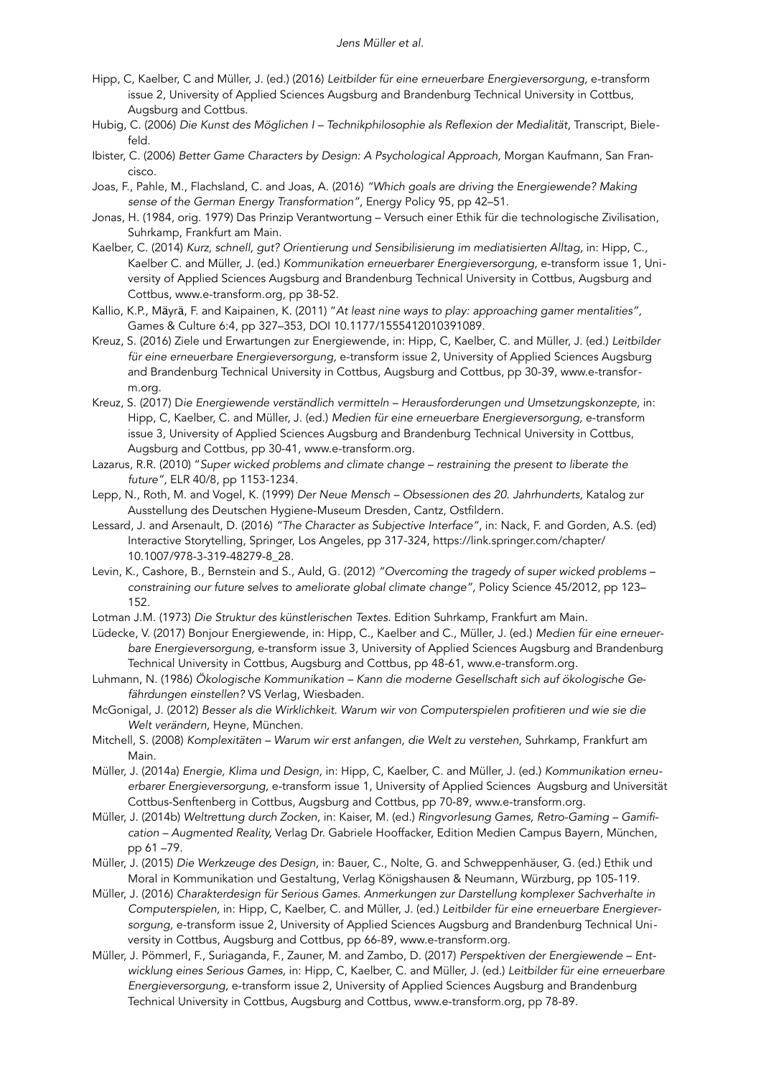- Hipp, C, Kaelber, C and Müller, J. (ed.) (2016) *Leitbilder für eine erneuerbare Energieversorgung,* e-transform issue 2, University of Applied Sciences Augsburg and Brandenburg Technical University in Cottbus, Augsburg and Cottbus.
- Hubig, C. (2006) *Die Kunst des Möglichen I Technikphilosophie als Reflexion der Medialität,* Transcript, Bielefeld.
- Ibister, C. (2006) *Better Game Characters by Design: A Psychological Approach,* Morgan Kaufmann, San Francisco.
- Joas, F., Pahle, M., Flachsland, C. and Joas, A. (2016) *"Which goals are driving the Energiewende? Making sense of the German Energy Transformation",* Energy Policy 95, pp 42–51.
- Jonas, H. (1984, orig. 1979) Das Prinzip Verantwortung Versuch einer Ethik für die technologische Zivilisation, Suhrkamp, Frankfurt am Main.
- Kaelber, C. (2014) *Kurz, schnell, gut? Orientierung und Sensibilisierung im mediatisierten Alltag,* in: Hipp, C., Kaelber C. and Müller, J. (ed.) *Kommunikation erneuerbarer Energieversorgung,* e-transform issue 1, University of Applied Sciences Augsburg and Brandenburg Technical University in Cottbus, Augsburg and Cottbus, www.e-transform.org, pp 38-52.
- Kallio, K.P., Mäyrä, F. and Kaipainen, K. (2011) "*At least nine ways to play: approaching gamer mentalities",*  Games & Culture 6:4, pp 327–353, DOI 10.1177/1555412010391089.
- Kreuz, S. (2016) Ziele und Erwartungen zur Energiewende, in: Hipp, C, Kaelber, C. and Müller, J. (ed.) *Leitbilder für eine erneuerbare Energieversorgung,* e-transform issue 2, University of Applied Sciences Augsburg and Brandenburg Technical University in Cottbus, Augsburg and Cottbus, pp 30-39, [www.e-transfor](http://www.e-transform.org)[m.org.](http://www.e-transform.org)
- Kreuz, S. (2017) D*ie Energiewende verständlich vermitteln Herausforderungen und Umsetzungskonzepte,* in: Hipp, C, Kaelber, C. and Müller, J. (ed.) *Medien für eine erneuerbare Energieversorgung,* e-transform issue 3, University of Applied Sciences Augsburg and Brandenburg Technical University in Cottbus, Augsburg and Cottbus, pp 30-41, [www.e-transform.org.](http://www.e-transform.org)
- Lazarus, R.R. (2010) "*Super wicked problems and climate change restraining the present to liberate the future",* ELR 40/8, pp 1153-1234.
- Lepp, N., Roth, M. and Vogel, K. (1999) *Der Neue Mensch Obsessionen des 20. Jahrhunderts,* Katalog zur Ausstellung des Deutschen Hygiene-Museum Dresden, Cantz, Ostfildern.
- Lessard, J. and Arsenault, D. (2016) *"The Character as Subjective Interface"*, in: Nack, F. and Gorden, A.S. (ed) Interactive Storytelling, Springer, Los Angeles, pp 317-324, https://link.springer.com/chapter/ 10.1007/978-3-319-48279-8\_28.
- Levin, K., Cashore, B., Bernstein and S., Auld, G. (2012) *"Overcoming the tragedy of super wicked problems constraining our future selves to ameliorate global climate change",* Policy Science 45/2012, pp 123– 152.
- Lotman J.M. (1973) *Die Struktur des künstlerischen Textes.* Edition Suhrkamp, Frankfurt am Main.
- Lüdecke, V. (2017) Bonjour Energiewende, in: Hipp, C., Kaelber and C., Müller, J. (ed.) *Medien für eine erneuerbare Energieversorgung,* e-transform issue 3, University of Applied Sciences Augsburg and Brandenburg Technical University in Cottbus, Augsburg and Cottbus, pp 48-61, [www.e-transform.org.](http://www.e-transform.org)
- Luhmann, N. (1986) *Ökologische Kommunikation Kann die moderne Gesellschaft sich auf ökologische Gefährdungen einstellen?* VS Verlag, Wiesbaden.
- McGonigal, J. (2012) *Besser als die Wirklichkeit. Warum wir von Computerspielen profitieren und wie sie die Welt verändern,* Heyne, München.
- Mitchell, S. (2008) *Komplexitäten Warum wir erst anfangen, die Welt zu verstehen, Suhrkamp, Frankfurt am* Main.
- Müller, J. (2014a) *Energie, Klima und Design,* in: Hipp, C, Kaelber, C. and Müller, J. (ed.) *Kommunikation erneuerbarer Energieversorgung,* e-transform issue 1, University of Applied Sciences Augsburg and Universität Cottbus-Senftenberg in Cottbus, Augsburg and Cottbus, pp 70-89, www.e-transform.org.
- Müller, J. (2014b) *Weltrettung durch Zocken,* in: Kaiser, M. (ed.) *Ringvorlesung Games, Retro-Gaming – Gamification – Augmented Reality,* Verlag Dr. Gabriele Hooffacker, Edition Medien Campus Bayern, München, pp 61 –79.
- Müller, J. (2015) *Die Werkzeuge des Design,* in: Bauer, C., Nolte, G. and Schweppenhäuser, G. (ed.) Ethik und Moral in Kommunikation und Gestaltung, Verlag Königshausen & Neumann, Würzburg, pp 105-119.
- Müller, J. (2016) *Charakterdesign für Serious Games. Anmerkungen zur Darstellung komplexer Sachverhalte in Computerspielen,* in: Hipp, C, Kaelber, C. and Müller, J. (ed.) *Leitbilder für eine erneuerbare Energieversorgung,* e-transform issue 2, University of Applied Sciences Augsburg and Brandenburg Technical University in Cottbus, Augsburg and Cottbus, pp 66-89, www.e-transform.org.
- Müller, J. Pömmerl, F., Suriaganda, F., Zauner, M. and Zambo, D. (2017) *Perspektiven der Energiewende Entwicklung eines Serious Games,* in: Hipp, C, Kaelber, C. and Müller, J. (ed.) *Leitbilder für eine erneuerbare Energieversorgung,* e-transform issue 2, University of Applied Sciences Augsburg and Brandenburg Technical University in Cottbus, Augsburg and Cottbus, www.e-transform.org, pp 78-89.